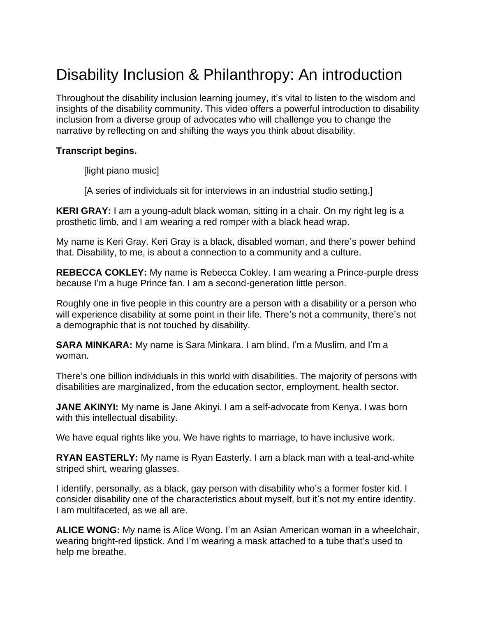# Disability Inclusion & Philanthropy: An introduction

Throughout the disability inclusion learning journey, it's vital to listen to the wisdom and insights of the disability community. This video offers a powerful introduction to disability inclusion from a diverse group of advocates who will challenge you to change the narrative by reflecting on and shifting the ways you think about disability.

#### **Transcript begins.**

[light piano music]

[A series of individuals sit for interviews in an industrial studio setting.]

**KERI GRAY:** I am a young-adult black woman, sitting in a chair. On my right leg is a prosthetic limb, and I am wearing a red romper with a black head wrap.

My name is Keri Gray. Keri Gray is a black, disabled woman, and there's power behind that. Disability, to me, is about a connection to a community and a culture.

**REBECCA COKLEY:** My name is Rebecca Cokley. I am wearing a Prince-purple dress because I'm a huge Prince fan. I am a second-generation little person.

Roughly one in five people in this country are a person with a disability or a person who will experience disability at some point in their life. There's not a community, there's not a demographic that is not touched by disability.

**SARA MINKARA:** My name is Sara Minkara. I am blind, I'm a Muslim, and I'm a woman.

There's one billion individuals in this world with disabilities. The majority of persons with disabilities are marginalized, from the education sector, employment, health sector.

**JANE AKINYI:** My name is Jane Akinyi. I am a self-advocate from Kenya. I was born with this intellectual disability.

We have equal rights like you. We have rights to marriage, to have inclusive work.

**RYAN EASTERLY:** My name is Ryan Easterly. I am a black man with a teal-and-white striped shirt, wearing glasses.

I identify, personally, as a black, gay person with disability who's a former foster kid. I consider disability one of the characteristics about myself, but it's not my entire identity. I am multifaceted, as we all are.

**ALICE WONG:** My name is Alice Wong. I'm an Asian American woman in a wheelchair, wearing bright-red lipstick. And I'm wearing a mask attached to a tube that's used to help me breathe.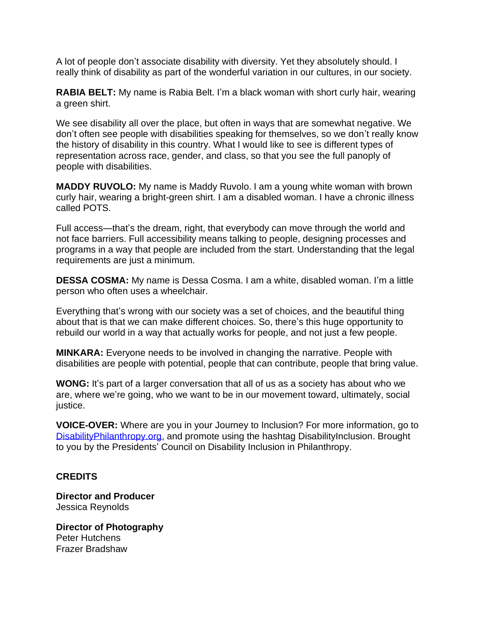A lot of people don't associate disability with diversity. Yet they absolutely should. I really think of disability as part of the wonderful variation in our cultures, in our society.

**RABIA BELT:** My name is Rabia Belt. I'm a black woman with short curly hair, wearing a green shirt.

We see disability all over the place, but often in ways that are somewhat negative. We don't often see people with disabilities speaking for themselves, so we don't really know the history of disability in this country. What I would like to see is different types of representation across race, gender, and class, so that you see the full panoply of people with disabilities.

**MADDY RUVOLO:** My name is Maddy Ruvolo. I am a young white woman with brown curly hair, wearing a bright-green shirt. I am a disabled woman. I have a chronic illness called POTS.

Full access—that's the dream, right, that everybody can move through the world and not face barriers. Full accessibility means talking to people, designing processes and programs in a way that people are included from the start. Understanding that the legal requirements are just a minimum.

**DESSA COSMA:** My name is Dessa Cosma. I am a white, disabled woman. I'm a little person who often uses a wheelchair.

Everything that's wrong with our society was a set of choices, and the beautiful thing about that is that we can make different choices. So, there's this huge opportunity to rebuild our world in a way that actually works for people, and not just a few people.

**MINKARA:** Everyone needs to be involved in changing the narrative. People with disabilities are people with potential, people that can contribute, people that bring value.

**WONG:** It's part of a larger conversation that all of us as a society has about who we are, where we're going, who we want to be in our movement toward, ultimately, social justice.

**VOICE-OVER:** Where are you in your Journey to Inclusion? For more information, go to [DisabilityPhilanthropy.org,](http://www.disabilityphilanthropy.org/) and promote using the hashtag DisabilityInclusion. Brought to you by the Presidents' Council on Disability Inclusion in Philanthropy.

## **CREDITS**

**Director and Producer** Jessica Reynolds

**Director of Photography** Peter Hutchens Frazer Bradshaw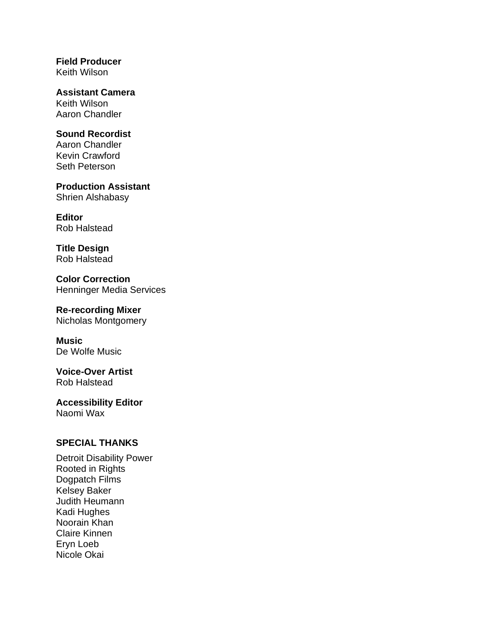**Field Producer** Keith Wilson

**Assistant Camera** Keith Wilson Aaron Chandler

### **Sound Recordist**

Aaron Chandler Kevin Crawford Seth Peterson

**Production Assistant** Shrien Alshabasy

**Editor** Rob Halstead

**Title Design** Rob Halstead

**Color Correction** Henninger Media Services

## **Re-recording Mixer**

Nicholas Montgomery

**Music** De Wolfe Music

**Voice-Over Artist** Rob Halstead

**Accessibility Editor** Naomi Wax

## **SPECIAL THANKS**

Detroit Disability Power Rooted in Rights Dogpatch Films Kelsey Baker Judith Heumann Kadi Hughes Noorain Khan Claire Kinnen Eryn Loeb Nicole Okai